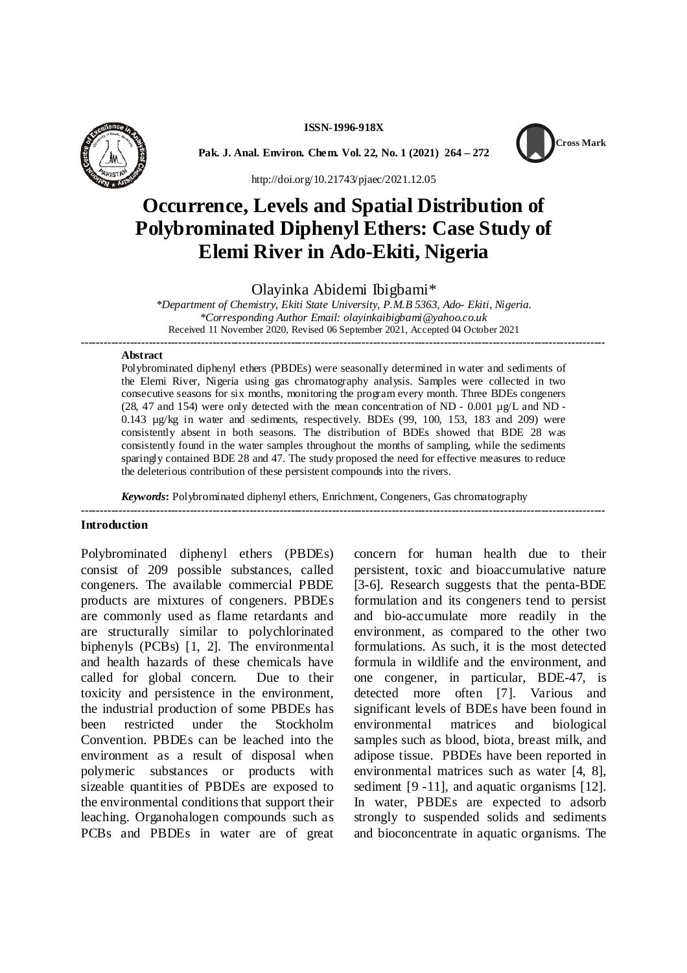**ISSN-1996-918X**



**Pak. J. Anal. Environ. Chem. Vol. 22, No. 1 (2021) 264 – 272**



http://doi.org/10.21743/pjaec/2021.12.05

# **Occurrence, Levels and Spatial Distribution of Polybrominated Diphenyl Ethers: Case Study of Elemi River in Ado-Ekiti, Nigeria**

Olayinka Abidemi Ibigbami\*

*\*Department of Chemistry, Ekiti State University, P.M.B 5363, Ado- Ekiti, Nigeria. \*Corresponding Author Email: olayinkaibigbami@yahoo.co.uk* Received 11 November 2020, Revised 06 September 2021, Accepted 04 October 2021 **--------------------------------------------------------------------------------------------------------------------------------------------**

#### **Abstract**

Polybrominated diphenyl ethers (PBDEs) were seasonally determined in water and sediments of the Elemi River, Nigeria using gas chromatography analysis. Samples were collected in two consecutive seasons for six months, monitoring the program every month. Three BDEs congeners (28, 47 and 154) were only detected with the mean concentration of ND -  $0.001 \mu g/L$  and ND -0.143 µg/kg in water and sediments, respectively. BDEs (99, 100, 153, 183 and 209) were consistently absent in both seasons. The distribution of BDEs showed that BDE 28 was consistently found in the water samples throughout the months of sampling, while the sediments sparingly contained BDE 28 and 47. The study proposed the need for effective measures to reduce the deleterious contribution of these persistent compounds into the rivers.

**--------------------------------------------------------------------------------------------------------------------------------------------**

*Keywords***:** Polybrominated diphenyl ethers, Enrichment, Congeners, Gas chromatography

### **Introduction**

Polybrominated diphenyl ethers (PBDEs) consist of 209 possible substances, called congeners. The available commercial PBDE products are mixtures of congeners. PBDEs are commonly used as flame retardants and are structurally similar to polychlorinated biphenyls (PCBs) [1, 2]. The environmental and health hazards of these chemicals have called for global concern. Due to their toxicity and persistence in the environment, the industrial production of some PBDEs has been restricted under the Stockholm Convention. PBDEs can be leached into the environment as a result of disposal when polymeric substances or products with sizeable quantities of PBDEs are exposed to the environmental conditions that support their leaching. Organohalogen compounds such as PCBs and PBDEs in water are of great

concern for human health due to their persistent, toxic and bioaccumulative nature [3-6]. Research suggests that the penta-BDE formulation and its congeners tend to persist and bio-accumulate more readily in the environment, as compared to the other two formulations. As such, it is the most detected formula in wildlife and the environment, and one congener, in particular, BDE-47, is detected more often [7]. Various and significant levels of BDEs have been found in environmental matrices and biological samples such as blood, biota, breast milk, and adipose tissue. PBDEs have been reported in environmental matrices such as water [4, 8], sediment [9 -11], and aquatic organisms [12]. In water, PBDEs are expected to adsorb strongly to suspended solids and sediments and bioconcentrate in aquatic organisms. The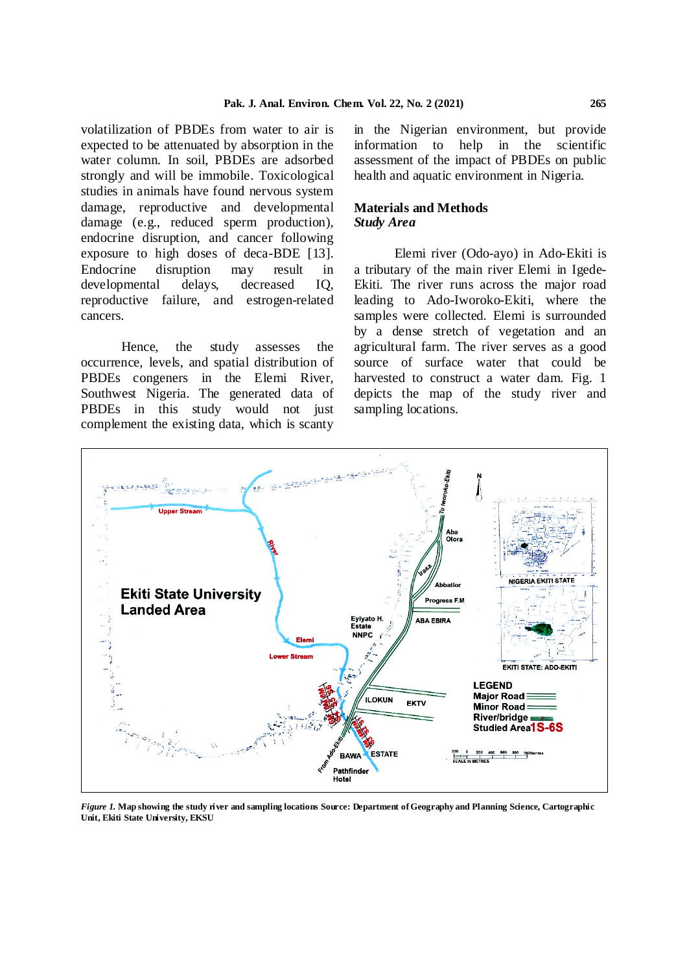volatilization of PBDEs from water to air is expected to be attenuated by absorption in the water column. In soil, PBDEs are adsorbed strongly and will be immobile. Toxicological studies in animals have found nervous system damage, reproductive and developmental damage (e.g., reduced sperm production), endocrine disruption, and cancer following exposure to high doses of deca-BDE [13]. Endocrine disruption may result in developmental delays, decreased IQ, reproductive failure, and estrogen-related cancers.

Hence, the study assesses the occurrence, levels, and spatial distribution of PBDEs congeners in the Elemi River, Southwest Nigeria. The generated data of PBDEs in this study would not just complement the existing data, which is scanty

in the Nigerian environment, but provide information to help in the scientific assessment of the impact of PBDEs on public health and aquatic environment in Nigeria.

## **Materials and Methods** *Study Area*

Elemi river (Odo-ayo) in Ado-Ekiti is a tributary of the main river Elemi in Igede-Ekiti. The river runs across the major road leading to Ado-Iworoko-Ekiti, where the samples were collected. Elemi is surrounded by a dense stretch of vegetation and an agricultural farm. The river serves as a good source of surface water that could be harvested to construct a water dam. Fig. 1 depicts the map of the study river and sampling locations.



*Figure 1.* **Map showing the study river and sampling locations Source: Department of Geography and Planning Science, Cartographic Unit, Ekiti State University, EKSU**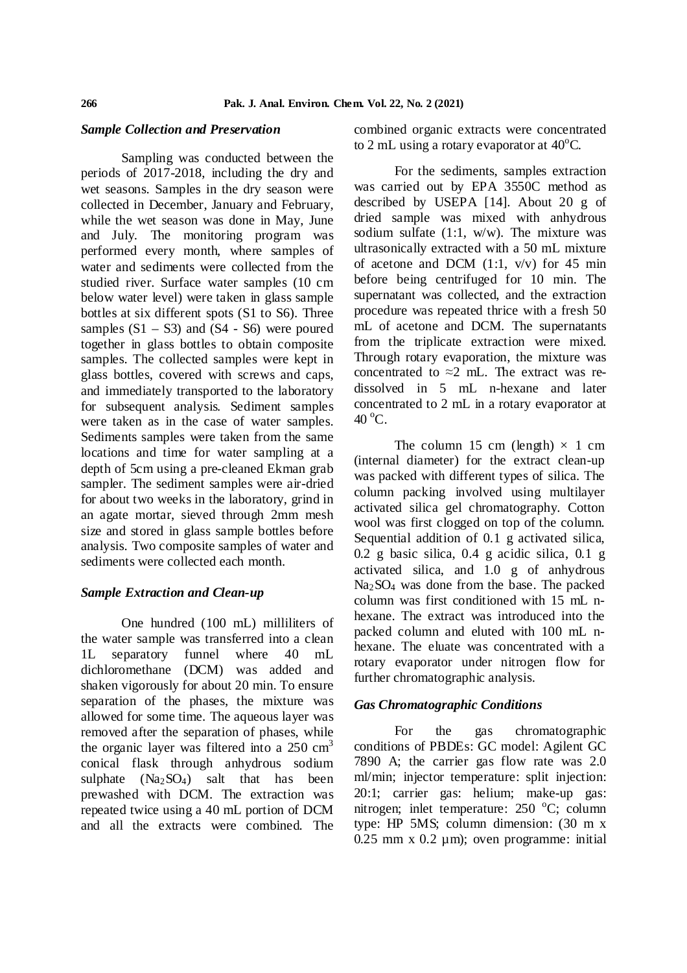### *Sample Collection and Preservation*

Sampling was conducted between the periods of 2017-2018, including the dry and wet seasons. Samples in the dry season were collected in December, January and February, while the wet season was done in May, June and July. The monitoring program was performed every month, where samples of water and sediments were collected from the studied river. Surface water samples (10 cm below water level) were taken in glass sample bottles at six different spots (S1 to S6). Three samples  $(S1 - S3)$  and  $(S4 - S6)$  were poured together in glass bottles to obtain composite samples. The collected samples were kept in glass bottles, covered with screws and caps, and immediately transported to the laboratory for subsequent analysis. Sediment samples were taken as in the case of water samples. Sediments samples were taken from the same locations and time for water sampling at a depth of 5cm using a pre-cleaned Ekman grab sampler. The sediment samples were air-dried for about two weeks in the laboratory, grind in an agate mortar, sieved through 2mm mesh size and stored in glass sample bottles before analysis. Two composite samples of water and sediments were collected each month.

#### *Sample Extraction and Clean-up*

One hundred (100 mL) milliliters of the water sample was transferred into a clean 1L separatory funnel where 40 mL dichloromethane (DCM) was added and shaken vigorously for about 20 min. To ensure separation of the phases, the mixture was allowed for some time. The aqueous layer was removed after the separation of phases, while the organic layer was filtered into a  $250 \text{ cm}^3$ conical flask through anhydrous sodium sulphate  $(Na_2SO_4)$  salt that has been prewashed with DCM. The extraction was repeated twice using a 40 mL portion of DCM and all the extracts were combined. The

combined organic extracts were concentrated to 2 mL using a rotary evaporator at  $40^{\circ}$ C.

For the sediments, samples extraction was carried out by EPA 3550C method as described by USEPA [14]. About 20 g of dried sample was mixed with anhydrous sodium sulfate (1:1, w/w). The mixture was ultrasonically extracted with a 50 mL mixture of acetone and DCM  $(1:1, v/v)$  for 45 min before being centrifuged for 10 min. The supernatant was collected, and the extraction procedure was repeated thrice with a fresh 50 mL of acetone and DCM. The supernatants from the triplicate extraction were mixed. Through rotary evaporation, the mixture was concentrated to  $\approx$ 2 mL. The extract was redissolved in 5 mL n-hexane and later concentrated to 2 mL in a rotary evaporator at  $40^{\circ}$ C.

The column 15 cm (length)  $\times$  1 cm (internal diameter) for the extract clean-up was packed with different types of silica. The column packing involved using multilayer activated silica gel chromatography. Cotton wool was first clogged on top of the column. Sequential addition of 0.1 g activated silica, 0.2 g basic silica, 0.4 g acidic silica, 0.1 g activated silica, and 1.0 g of anhydrous Na2SO<sup>4</sup> was done from the base. The packed column was first conditioned with 15 mL nhexane. The extract was introduced into the packed column and eluted with 100 mL nhexane. The eluate was concentrated with a rotary evaporator under nitrogen flow for further chromatographic analysis.

## *Gas Chromatographic Conditions*

For the gas chromatographic conditions of PBDEs: GC model: Agilent GC 7890 A; the carrier gas flow rate was 2.0 ml/min; injector temperature: split injection: 20:1; carrier gas: helium; make-up gas: nitrogen; inlet temperature:  $250^{\circ}$ C; column type: HP 5MS; column dimension: (30 m x 0.25 mm x 0.2  $\mu$ m); oven programme: initial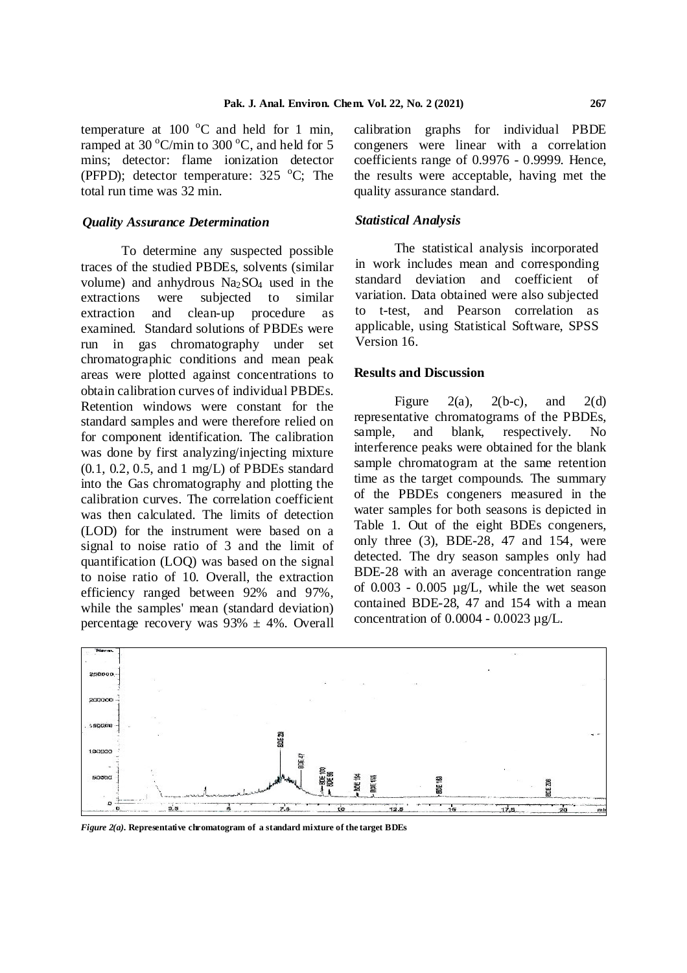temperature at 100 $\degree$ C and held for 1 min, ramped at 30  $^{\circ}$ C/min to 300  $^{\circ}$ C, and held for 5 mins; detector: flame ionization detector (PFPD); detector temperature:  $325\text{ °C}$ ; The total run time was 32 min.

## *Quality Assurance Determination*

To determine any suspected possible traces of the studied PBDEs, solvents (similar volume) and anhydrous  $Na<sub>2</sub>SO<sub>4</sub>$  used in the extractions were subjected to similar extraction and clean-up procedure as examined. Standard solutions of PBDEs were run in gas chromatography under set chromatographic conditions and mean peak areas were plotted against concentrations to obtain calibration curves of individual PBDEs. Retention windows were constant for the standard samples and were therefore relied on represent<br>for component identification. The calibration sample, for component identification. The calibration was done by first analyzing/injecting mixture (0.1, 0.2, 0.5, and 1 mg/L) of PBDEs standard into the Gas chromatography and plotting the calibration curves. The correlation coefficient was then calculated. The limits of detection (LOD) for the instrument were based on a signal to noise ratio of 3 and the limit of quantification (LOQ) was based on the signal to noise ratio of 10. Overall, the extraction efficiency ranged between 92% and 97%, while the samples' mean (standard deviation) percentage recovery was  $93\% \pm 4\%$ . Overall

calibration graphs for individual PBDE congeners were linear with a correlation coefficients range of 0.9976 - 0.9999. Hence, the results were acceptable, having met the quality assurance standard.

#### *Statistical Analysis*

The statistical analysis incorporated in work includes mean and corresponding standard deviation and coefficient of variation. Data obtained were also subjected to t-test, and Pearson correlation as applicable, using Statistical Software, SPSS Version 16.

### **Results and Discussion**

Figure 2(a),  $2(b-c)$ , and  $2(d)$ representative chromatograms of the PBDEs, and blank, respectively. No interference peaks were obtained for the blank sample chromatogram at the same retention time as the target compounds. The summary of the PBDEs congeners measured in the water samples for both seasons is depicted in Table 1. Out of the eight BDEs congeners, only three (3), BDE-28, 47 and 154, were detected. The dry season samples only had BDE-28 with an average concentration range of  $0.003 - 0.005 \mu g/L$ , while the wet season contained BDE-28, 47 and 154 with a mean concentration of  $0.0004 - 0.0023 \mu g/L$ .



*Figure 2(a).* **Representative chromatogram of a standard mixture of the target BDEs**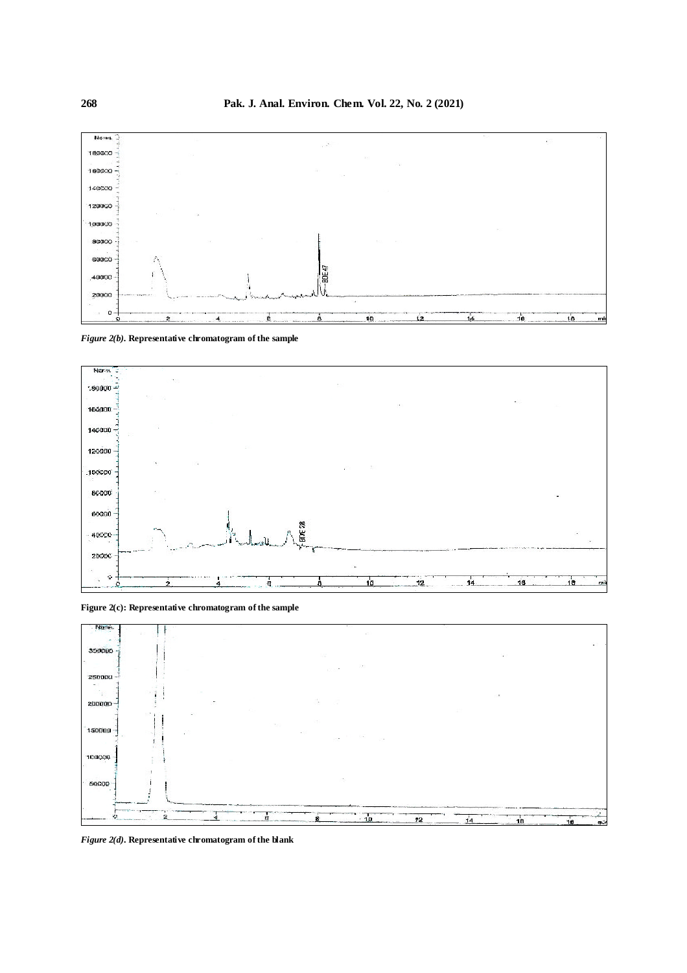

*Figure 2(b).* **Representative chromatogram of the sample**



**Figure 2(c): Representative chromatogram of the sample**



*Figure 2(d).* **Representative chromatogram ofthe blank**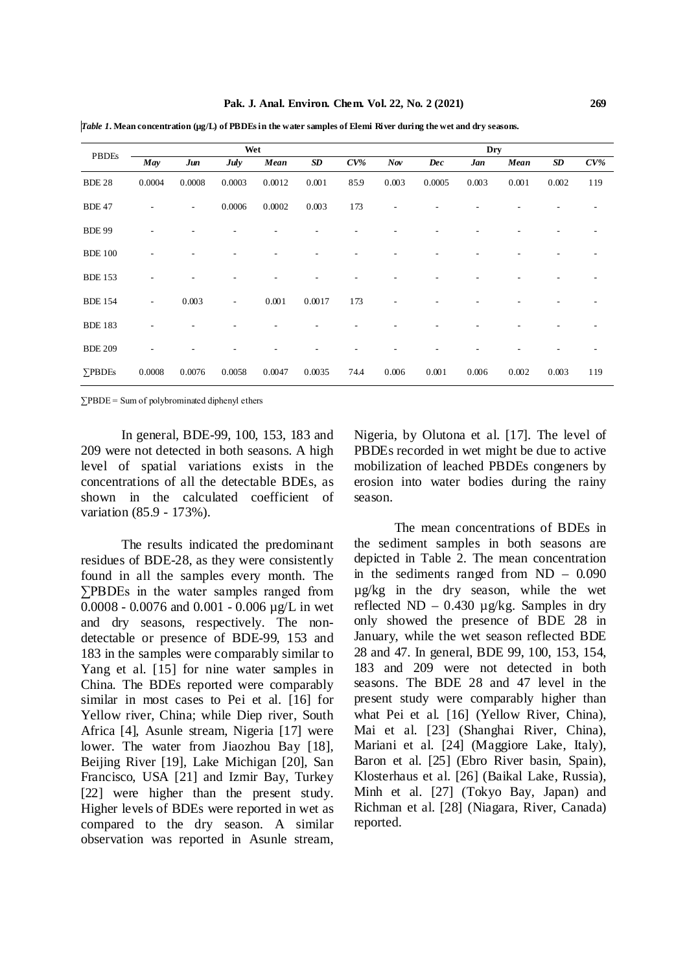| <b>PBDEs</b>   | Wet                      |                          |                          |        |        |        |       | <b>Dry</b> |       |       |       |        |  |  |
|----------------|--------------------------|--------------------------|--------------------------|--------|--------|--------|-------|------------|-------|-------|-------|--------|--|--|
|                | May                      | Jun                      | <b>July</b>              | Mean   | SD     | $CV\%$ | Nov   | Dec        | Jan   | Mean  | SD    | $CV\%$ |  |  |
| <b>BDE 28</b>  | 0.0004                   | 0.0008                   | 0.0003                   | 0.0012 | 0.001  | 85.9   | 0.003 | 0.0005     | 0.003 | 0.001 | 0.002 | 119    |  |  |
| <b>BDE 47</b>  |                          | $\overline{\phantom{a}}$ | 0.0006                   | 0.0002 | 0.003  | 173    |       |            |       |       |       |        |  |  |
| <b>BDE 99</b>  |                          |                          |                          |        |        |        |       |            |       |       |       |        |  |  |
| <b>BDE 100</b> |                          |                          |                          |        |        |        |       |            |       |       |       |        |  |  |
| <b>BDE 153</b> |                          |                          |                          |        |        |        |       |            |       |       |       |        |  |  |
| <b>BDE 154</b> | $\overline{\phantom{a}}$ | 0.003                    | $\overline{\phantom{a}}$ | 0.001  | 0.0017 | 173    |       |            |       |       |       |        |  |  |
| <b>BDE 183</b> |                          |                          |                          |        |        |        |       |            |       |       |       |        |  |  |
| <b>BDE 209</b> |                          |                          |                          |        |        |        |       |            |       |       |       |        |  |  |
| $\sum$ PBDEs   | 0.0008                   | 0.0076                   | 0.0058                   | 0.0047 | 0.0035 | 74.4   | 0.006 | 0.001      | 0.006 | 0.002 | 0.003 | 119    |  |  |

*Table 1.* Mean concentration (µg/L) of PBDEs in the water samples of Elemi River during the wet and dry seasons.

∑PBDE = Sum of polybrominated diphenyl ethers

In general, BDE-99, 100, 153, 183 and 209 were not detected in both seasons. A high level of spatial variations exists in the concentrations of all the detectable BDEs, as shown in the calculated coefficient of variation (85.9 - 173%).

The results indicated the predominant residues of BDE-28, as they were consistently found in all the samples every month. The ∑PBDEs in the water samples ranged from 0.0008 - 0.0076 and 0.001 - 0.006 µg/L in wet and dry seasons, respectively. The nondetectable or presence of BDE-99, 153 and 183 in the samples were comparably similar to Yang et al. [15] for nine water samples in China. The BDEs reported were comparably similar in most cases to Pei et al. [16] for Yellow river, China; while Diep river, South Africa [4], Asunle stream, Nigeria [17] were lower. The water from Jiaozhou Bay [18], Beijing River [19], Lake Michigan [20], San Francisco, USA [21] and Izmir Bay, Turkey [22] were higher than the present study. Higher levels of BDEs were reported in wet as compared to the dry season. A similar observation was reported in Asunle stream, Nigeria, by Olutona et al. [17]. The level of PBDEs recorded in wet might be due to active mobilization of leached PBDEs congeners by erosion into water bodies during the rainy season.

The mean concentrations of BDEs in the sediment samples in both seasons are depicted in Table 2. The mean concentration in the sediments ranged from ND – 0.090 µg/kg in the dry season, while the wet reflected ND – 0.430  $\mu$ g/kg. Samples in dry only showed the presence of BDE 28 in January, while the wet season reflected BDE 28 and 47. In general, BDE 99, 100, 153, 154, 183 and 209 were not detected in both seasons. The BDE 28 and 47 level in the present study were comparably higher than what Pei et al. [16] (Yellow River, China), Mai et al. [23] (Shanghai River, China), Mariani et al. [24] (Maggiore Lake, Italy), Baron et al. [25] (Ebro River basin, Spain), Klosterhaus et al. [26] (Baikal Lake, Russia), Minh et al. [27] (Tokyo Bay, Japan) and Richman et al. [28] (Niagara, River, Canada) reported.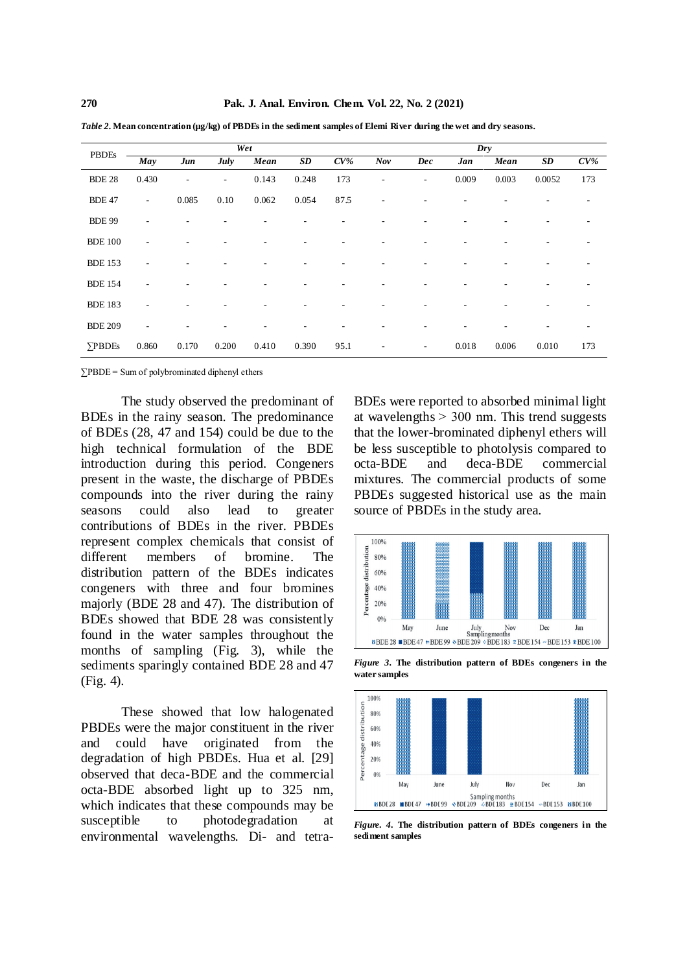| <b>PBDEs</b>   | Wet                      |                          |                          |       |       |        |     | $_{\text{Dry}}$          |       |       |           |        |  |  |
|----------------|--------------------------|--------------------------|--------------------------|-------|-------|--------|-----|--------------------------|-------|-------|-----------|--------|--|--|
|                | May                      | Jun                      | July                     | Mean  | SD    | $CV\%$ | Nov | Dec                      | Jan   | Mean  | <b>SD</b> | $CV\%$ |  |  |
| <b>BDE 28</b>  | 0.430                    | $\overline{\phantom{a}}$ | $\overline{\phantom{a}}$ | 0.143 | 0.248 | 173    | ۰   | $\overline{a}$           | 0.009 | 0.003 | 0.0052    | 173    |  |  |
| <b>BDE 47</b>  | $\overline{\phantom{a}}$ | 0.085                    | 0.10                     | 0.062 | 0.054 | 87.5   | ۰   |                          |       |       |           |        |  |  |
| <b>BDE 99</b>  | ٠                        |                          |                          |       |       |        |     |                          |       |       |           |        |  |  |
| <b>BDE 100</b> | ٠                        |                          |                          |       |       |        |     |                          |       |       |           |        |  |  |
| <b>BDE 153</b> | $\overline{\phantom{a}}$ |                          |                          |       |       |        |     |                          |       |       |           |        |  |  |
| <b>BDE 154</b> | ۰                        |                          |                          |       |       |        |     |                          |       |       |           |        |  |  |
| <b>BDE 183</b> | ٠                        |                          |                          |       |       |        |     |                          |       |       |           |        |  |  |
| <b>BDE 209</b> | $\overline{\phantom{a}}$ |                          |                          |       |       |        |     |                          |       |       |           |        |  |  |
| <b>YPBDEs</b>  | 0.860                    | 0.170                    | 0.200                    | 0.410 | 0.390 | 95.1   | ٠   | $\overline{\phantom{a}}$ | 0.018 | 0.006 | 0.010     | 173    |  |  |

*Table 2.* **Mean concentration (µg/kg) of PBDEs in the sediment samples of Elemi River during the wet and dry seasons.**

∑PBDE = Sum of polybrominated diphenyl ethers

The study observed the predominant of BDEs in the rainy season. The predominance of BDEs (28, 47 and 154) could be due to the high technical formulation of the BDE introduction during this period. Congeners present in the waste, the discharge of PBDEs compounds into the river during the rainy seasons could also lead to greater contributions of BDEs in the river. PBDEs represent complex chemicals that consist of different members of bromine. The distribution pattern of the BDEs indicates congeners with three and four bromines majorly (BDE 28 and 47). The distribution of BDEs showed that BDE 28 was consistently found in the water samples throughout the months of sampling (Fig. 3), while the sediments sparingly contained BDE 28 and 47 (Fig. 4).

These showed that low halogenated PBDEs were the major constituent in the river and could have originated from the degradation of high PBDEs. Hua et al. [29] observed that deca-BDE and the commercial octa-BDE absorbed light up to 325 nm, which indicates that these compounds may be susceptible to photodegradation at environmental wavelengths. Di- and tetra-

BDEs were reported to absorbed minimal light at wavelengths  $> 300$  nm. This trend suggests that the lower-brominated diphenyl ethers will be less susceptible to photolysis compared to octa-BDE and deca-BDE commercial mixtures. The commercial products of some PBDEs suggested historical use as the main source of PBDEs in the study area.



*Figure 3.* **The distribution pattern of BDEs congeners in the water samples**



*Figure. 4.* **The distribution pattern of BDEs congeners in the sediment samples**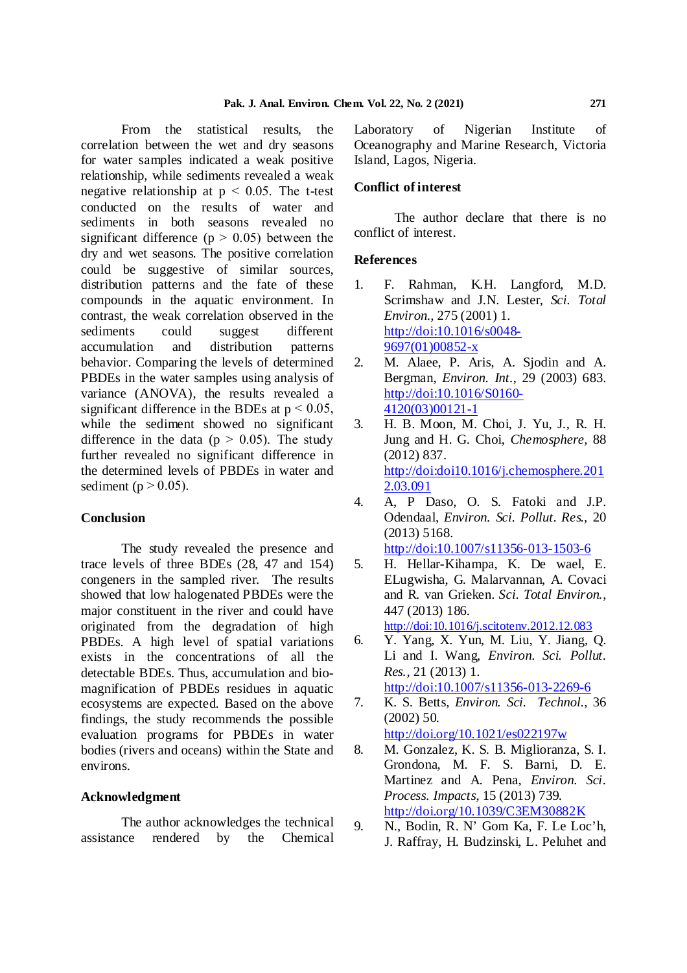From the statistical results, the correlation between the wet and dry seasons for water samples indicated a weak positive relationship, while sediments revealed a weak negative relationship at  $p < 0.05$ . The t-test conducted on the results of water and sediments in both seasons revealed no significant difference ( $p > 0.05$ ) between the dry and wet seasons. The positive correlation could be suggestive of similar sources, distribution patterns and the fate of these compounds in the aquatic environment. In contrast, the weak correlation observed in the sediments could suggest different accumulation and distribution patterns behavior. Comparing the levels of determined PBDEs in the water samples using analysis of variance (ANOVA), the results revealed a significant difference in the BDEs at  $p < 0.05$ , while the sediment showed no significant difference in the data ( $p > 0.05$ ). The study further revealed no significant difference in the determined levels of PBDEs in water and sediment ( $p > 0.05$ ).

## **Conclusion**

The study revealed the presence and trace levels of three BDEs (28, 47 and 154) congeners in the sampled river. The results showed that low halogenated PBDEs were the major constituent in the river and could have originated from the degradation of high PBDEs. A high level of spatial variations exists in the concentrations of all the detectable BDEs. Thus, accumulation and biomagnification of PBDEs residues in aquatic ecosystems are expected. Based on the above findings, the study recommends the possible evaluation programs for PBDEs in water bodies (rivers and oceans) within the State and environs.

### **Acknowledgment**

The author acknowledges the technical assistance rendered by the Chemical Laboratory of Nigerian Institute of Oceanography and Marine Research, Victoria Island, Lagos, Nigeria.

## **Conflict of interest**

The author declare that there is no conflict of interest.

## **References**

- 1. F. Rahman, K.H. Langford, M.D. Scrimshaw and J.N. Lester, *Sci. Total Environ.,* 275 (2001) 1. http://doi:10.1016/s0048- 9697(01)00852-x
- 2. M. Alaee, P. Aris, A. Sjodin and A. Bergman, *Environ. Int.*, 29 (2003) 683. http://doi:10.1016/S0160- 4120(03)00121-1
- 3. H. B. Moon, M. Choi, J. Yu, J., R. H. Jung and H. G. Choi, *Chemosphere,* 88 (2012) 837. http://doi:doi10.1016/j.chemosphere.201 2.03.091
- 4. A, P Daso, O. S. Fatoki and J.P. Odendaal, *Environ. Sci. Pollut. Res.,* 20 (2013) 5168. http://doi:10.1007/s11356-013-1503-6
- 5. H. Hellar-Kihampa, K. De wael, E. ELugwisha, G. Malarvannan, A. Covaci and R. van Grieken. *Sci. Total Environ.*, 447 (2013) 186. http://doi:10.1016/j.scitotenv.2012.12.083
- 6. Y. Yang, X. Yun, M. Liu, Y. Jiang, Q.
- Li and I. Wang, *Environ. Sci. Pollut. Res.,* 21 (2013) 1. http://doi:10.1007/s11356-013-2269-6
- 7. K. S. Betts, *Environ. Sci. Technol.*, 36 (2002) 50. http://doi.org/10.1021/es022197w
- 8. M. Gonzalez, K. S. B. Miglioranza, S. I. Grondona, M. F. S. Barni, D. E. Martinez and A. Pena, *Environ. Sci. Process. Impacts*, 15 (2013) 739. http://doi.org/10.1039/C3EM30882K
- 9. N., Bodin, R. N' Gom Ka, F. Le Loc'h, J. Raffray, H. Budzinski, L. Peluhet and